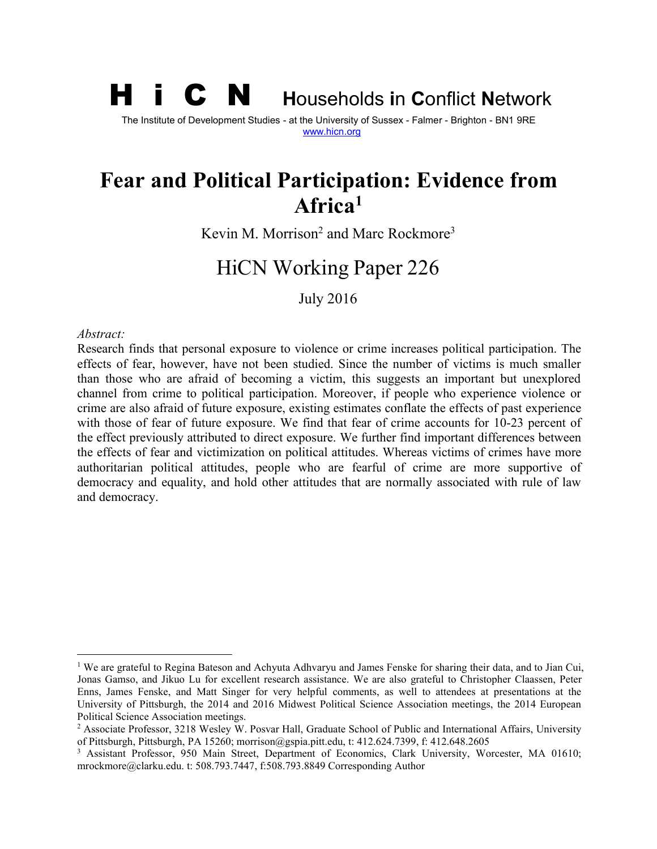# H i C N **<sup>H</sup>**ouseholds **<sup>i</sup>**<sup>n</sup> **<sup>C</sup>**onflict **<sup>N</sup>**etwork The Institute of Development Studies - at the University of Sussex - Falmer - Brighton - BN1 9RE [www.hicn.org](http://www.hicn.org/)

# **Fear and Political Participation: Evidence from Africa[1](#page-0-0)**

Kevin M. Morrison<sup>[2](#page-0-1)</sup> and Marc Rockmore<sup>[3](#page-0-2)</sup>

# HiCN Working Paper 226

July 2016

#### *Abstract:*

Research finds that personal exposure to violence or crime increases political participation. The effects of fear, however, have not been studied. Since the number of victims is much smaller than those who are afraid of becoming a victim, this suggests an important but unexplored channel from crime to political participation. Moreover, if people who experience violence or crime are also afraid of future exposure, existing estimates conflate the effects of past experience with those of fear of future exposure. We find that fear of crime accounts for 10-23 percent of the effect previously attributed to direct exposure. We further find important differences between the effects of fear and victimization on political attitudes. Whereas victims of crimes have more authoritarian political attitudes, people who are fearful of crime are more supportive of democracy and equality, and hold other attitudes that are normally associated with rule of law and democracy.

<span id="page-0-0"></span><sup>&</sup>lt;sup>1</sup> We are grateful to Regina Bateson and Achyuta Adhvaryu and James Fenske for sharing their data, and to Jian Cui, Jonas Gamso, and Jikuo Lu for excellent research assistance. We are also grateful to Christopher Claassen, Peter Enns, James Fenske, and Matt Singer for very helpful comments, as well to attendees at presentations at the University of Pittsburgh, the 2014 and 2016 Midwest Political Science Association meetings, the 2014 European Political Science Association meetings.

<span id="page-0-1"></span><sup>2</sup> Associate Professor, 3218 Wesley W. Posvar Hall, Graduate School of Public and International Affairs, University of Pittsburgh, Pittsburgh, PA 15260; morrison@gspia.pitt.edu, t: 412.624.7399, f: 412.648.2605

<span id="page-0-2"></span><sup>&</sup>lt;sup>3</sup> Assistant Professor, 950 Main Street, Department of Economics, Clark University, Worcester, MA 01610; mrockmore@clarku.edu. t: 508.793.7447, f:508.793.8849 Corresponding Author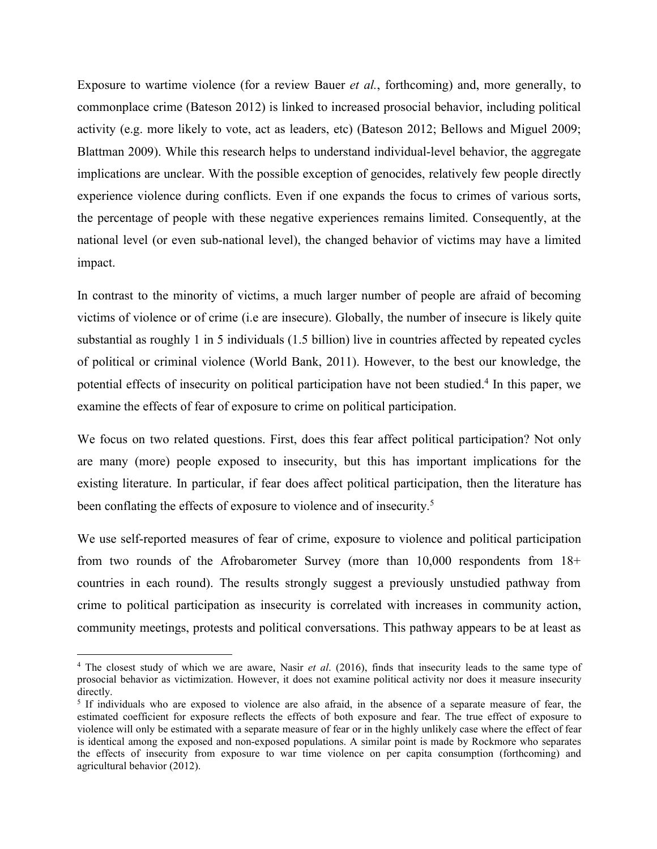Exposure to wartime violence (for a review Bauer *etal.*, forthcoming) and, more generally, to commonplace crime (Bateson 2012) is linked to increased prosocial behavior, including political activity (e.g. more likely to vote, act as leaders, etc) (Bateson 2012; Bellows and Miguel 2009; Blattman 2009). While this research helps to understand individual-level behavior, the aggregate implications are unclear. With the possible exception of genocides, relatively few people directly experience violence during conflicts. Even if one expands the focus to crimes of various sorts, the percentage of people with these negative experiences remains limited. Consequently, at the national level (or even sub-national level), the changed behavior of victims may have a limited impact.

In contrast to the minority of victims, a much larger number of people are afraid of becoming victims of violence or of crime (i.e are insecure). Globally, the number of insecure is likely quite substantial as roughly 1 in 5 individuals (1.5 billion) live in countries affected by repeated cycles of political or criminal violence (World Bank, 2011). However, to the best our knowledge, the potential effects of insecurity on political participation have not been studied.[4](#page-1-0) In this paper, we examine the effects of fear of exposure to crime on political participation.

We focus on two related questions. First, does this fear affect political participation? Not only are many (more) people exposed to insecurity, but this has important implications for the existing literature. In particular, if fear does affect political participation, then the literature has been conflating the effects of exposure to violence and of insecurity.<sup>[5](#page-1-1)</sup>

We use self-reported measures of fear of crime, exposure to violence and political participation from two rounds of the Afrobarometer Survey (more than 10,000 respondents from 18+ countries in each round). The results strongly suggest a previously unstudied pathway from crime to political participation as insecurity is correlated with increases in community action, community meetings, protests and political conversations. This pathway appears to be at leastas

<span id="page-1-0"></span><sup>&</sup>lt;sup>4</sup> The closest study of which we are aware, Nasir *et al.* (2016), finds that insecurity leads to the same type of prosocial behavior as victimization. However, it does not examine political activity nor does it measure insecurity directly.

<span id="page-1-1"></span><sup>&</sup>lt;sup>5</sup> If individuals who are exposed to violence are also afraid, in the absence of a separate measure of fear, the estimated coefficient for exposure reflects the effects of both exposure and fear. The true effect of exposure to violence will only be estimated with a separate measure of fear or in the highly unlikely case where the effect of fear is identical among the exposed and non-exposed populations. A similar point is made by Rockmore who separates the effects of insecurity from exposure to war time violence on per capita consumption (forthcoming) and agricultural behavior (2012).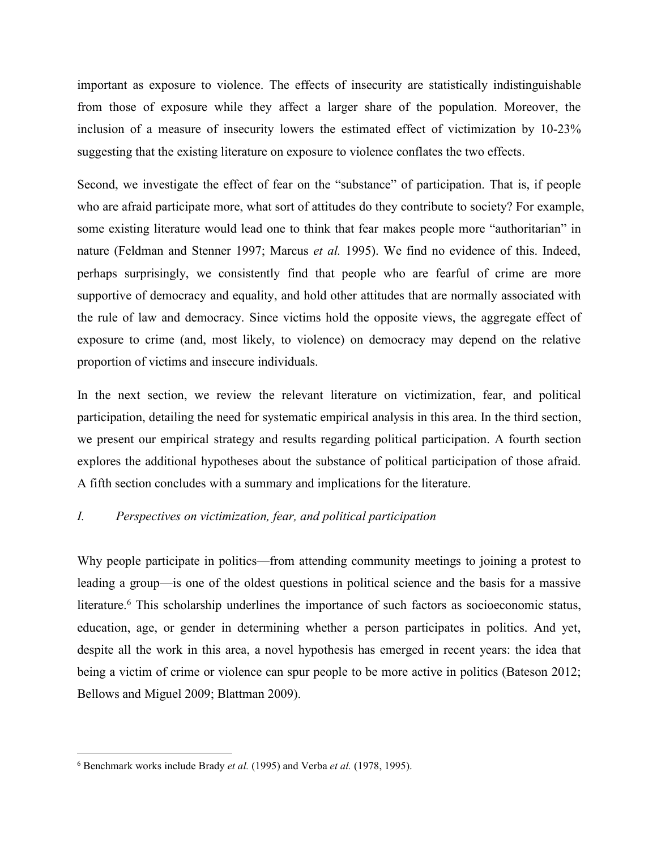important as exposure to violence. The effects of insecurity are statistically indistinguishable from those of exposure while they affect a larger share of the population. Moreover, the inclusion of a measure of insecurity lowers the estimated effect of victimization by 10-23% suggesting that the existing literature on exposure to violence conflates the two effects.

Second, we investigate the effect of fear on the "substance" of participation. That is, if people who are afraid participate more, what sort of attitudes do they contribute to society? For example, some existing literature would lead one to think that fear makes people more "authoritarian" in nature (Feldman and Stenner 1997; Marcus *et al.* 1995). We find no evidence of this. Indeed, perhaps surprisingly, we consistently find that people who are fearful of crime are more supportive of democracy and equality, and hold other attitudes that are normally associated with the rule of law and democracy. Since victims hold the opposite views, the aggregate effect of exposure to crime (and, most likely, to violence) on democracy may depend on the relative proportion of victims and insecure individuals.

In the next section, we review the relevant literature on victimization, fear, and political participation, detailing the need for systematic empirical analysis in this area. In the third section, we present our empirical strategy and results regarding political participation. A fourth section explores the additional hypotheses about the substance of political participation of those afraid. A fifth section concludes with a summary and implications for the literature.

## *I. Perspectives on victimization, fear, and political participation*

Why people participate in politics—from attending community meetings to joining a protest to leading a group—is one of the oldest questions in political science and the basis for a massive literature.<sup>[6](#page-2-0)</sup> This scholarship underlines the importance of such factors as socioeconomic status, education, age, or gender in determining whether a person participates in politics. And yet, despite all the work in this area, a novel hypothesis has emerged in recent years: the idea that being a victim of crime or violence can spur people to be more active in politics (Bateson 2012; Bellows and Miguel 2009; Blattman 2009).

<span id="page-2-0"></span><sup>6</sup> Benchmark works include Brady *et al.* (1995) and Verba *et al.* (1978, 1995).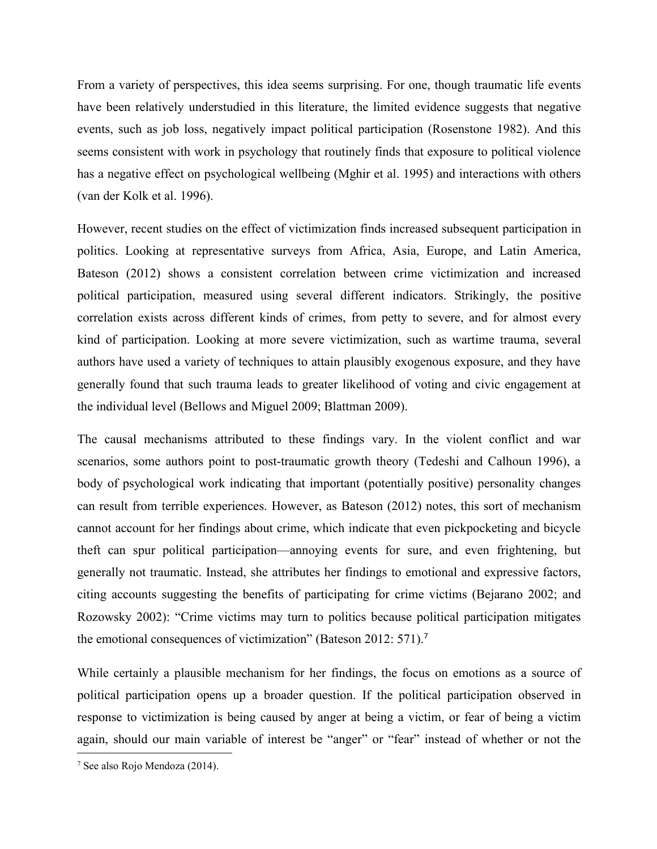From a variety of perspectives, this idea seems surprising. For one, though traumatic life events have been relatively understudied in this literature, the limited evidence suggests that negative events, such as job loss, negatively impact political participation (Rosenstone 1982). And this seems consistent with work in psychology that routinely finds that exposure to political violence has a negative effect on psychological wellbeing (Mghir et al. 1995) and interactions with others (van der Kolk et al. 1996).

However, recent studies on the effect of victimization finds increased subsequent participation in politics. Looking at representative surveys from Africa, Asia, Europe, and Latin America, Bateson (2012) shows a consistent correlation between crime victimization and increased political participation, measured using several different indicators. Strikingly, the positive correlation exists across different kinds of crimes, from petty to severe, and for almost every kind of participation. Looking at more severe victimization, such as wartime trauma, several authors have used a variety of techniques to attain plausibly exogenous exposure, and they have generally found that such trauma leads to greater likelihood of voting and civic engagement at the individual level (Bellows and Miguel 2009; Blattman 2009).

The causal mechanisms attributed to these findings vary. In the violent conflict and war scenarios, some authors point to post-traumatic growth theory (Tedeshi and Calhoun 1996), a body of psychological work indicating that important (potentially positive) personality changes can result from terrible experiences. However, as Bateson (2012) notes, this sort of mechanism cannot account for her findings about crime, which indicate that even pickpocketing and bicycle theft can spur political participation—annoying events for sure, and even frightening, but generally not traumatic. Instead, she attributes her findings to emotional and expressive factors, citing accounts suggesting the benefits of participating for crime victims (Bejarano 2002; and Rozowsky 2002): "Crime victims may turn to politics because political participation mitigates the emotional consequences of victimization" (Bateson 2012: 571).[7](#page-3-0)

While certainly a plausible mechanism for her findings, the focus on emotions as a source of political participation opens up a broader question. If the political participation observed in response to victimization is being caused by anger atbeing a victim, or fear of being a victim again, should our main variable of interest be "anger" or "fear" instead of whether or not the

<span id="page-3-0"></span><sup>7</sup> See also Rojo Mendoza (2014).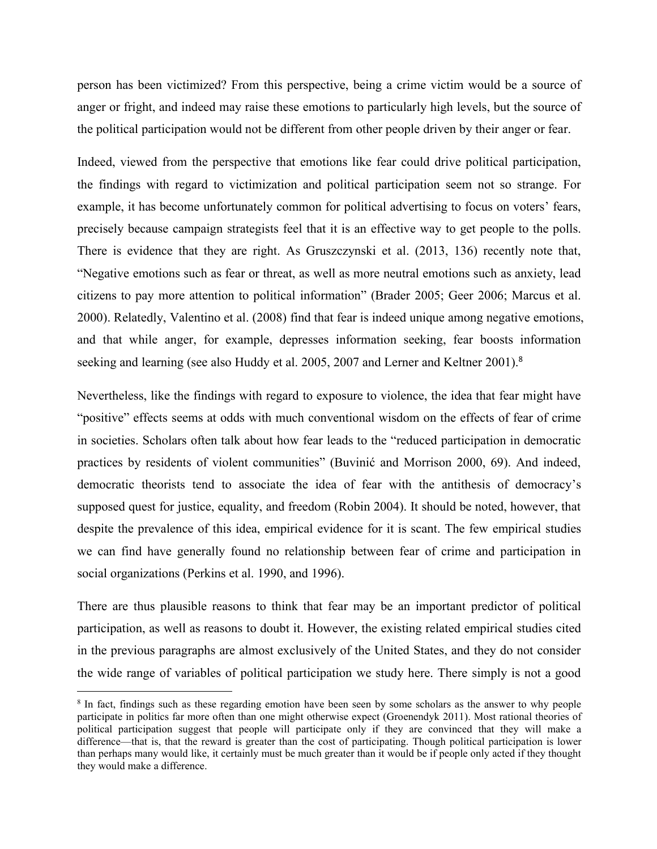person has been victimized? From this perspective, being a crime victim would be a source of anger or fright, and indeed may raise these emotions to particularly high levels, but the source of the political participation would not be different from other people driven by their anger or fear.

Indeed, viewed from the perspective that emotions like fear could drive political participation, the findings with regard to victimization and political participation seem notso strange. For example, it has become unfortunately common for political advertising to focus on voters' fears, precisely because campaign strategists feel that it is an effective way to get people to the polls. There is evidence that they are right. As Gruszczynski et al. (2013, 136) recently note that, "Negative emotions such as fear or threat, as well as more neutral emotions such as anxiety, lead citizens to pay more attention to political information" (Brader 2005; Geer 2006; Marcus et al. 2000). Relatedly, Valentino et al. (2008) find that fear is indeed unique among negative emotions, and that while anger, for example, depresses information seeking, fear boosts information seeking and learning (see also Huddy et al. 2005, 2007 and Lerner and Keltner 2001).<sup>[8](#page-4-0)</sup>

Nevertheless, like the findings with regard to exposure to violence, the idea that fear might have "positive" effects seems at odds with much conventional wisdom on the effects of fear of crime in societies. Scholars often talk about how fear leads to the "reduced participation in democratic practices by residents of violent communities" (Buvinić and Morrison 2000, 69). And indeed, democratic theorists tend to associate the idea of fear with the antithesis of democracy's supposed quest for justice, equality, and freedom (Robin 2004). It should be noted, however, that despite the prevalence of this idea, empirical evidence for it is scant.The few empirical studies we can find have generally found no relationship between fear of crime and participation in social organizations (Perkins et al. 1990, and 1996).

There are thus plausible reasons to think that fear may be an important predictor of political participation, as well as reasons to doubt it. However, the existing related empirical studies cited in the previous paragraphs are almost exclusively of the United States, and they do not consider the wide range of variables of political participation we study here. There simply is not a good

<span id="page-4-0"></span><sup>8</sup> In fact, findings such as these regarding emotion have been seen by some scholars as the answer to why people participate in politics far more often than one might otherwise expect (Groenendyk 2011). Most rational theories of political participation suggest that people will participate only if they are convinced that they will make a difference—that is, that the reward is greater than the cost of participating. Though political participation is lower than perhaps many would like, it certainly must be much greater than it would be if people only acted if they thought they would make a difference.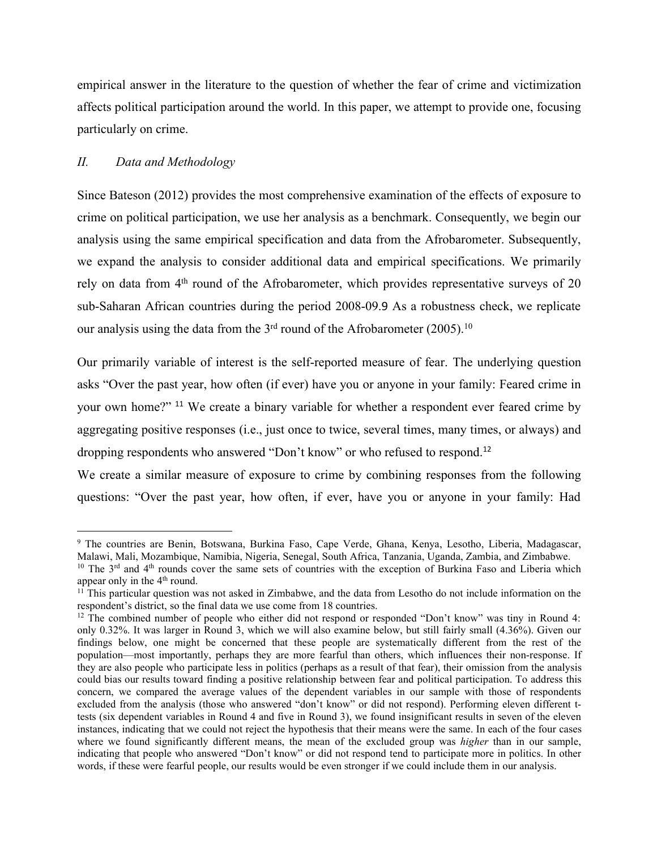empirical answer in the literature to the question of whether the fear of crime and victimization affects political participation around the world. In this paper, we attempt to provide one, focusing particularly on crime.

# *II. Data and Methodology*

Since Bateson (2012) provides the most comprehensive examination of the effects of exposure to crime on political participation, we use her analysis as a benchmark. Consequently, we begin our analysis using the same empirical specification and data from the Afrobarometer. Subsequently, we expand the analysis to consider additional data and empirical specifications. We primarily rely on data from 4<sup>th</sup> round of the Afrobarometer, which provides representative surveys of 20 sub-Saharan African countries during the period 2008-09.[9](#page-5-0) As a robustness check, we replicate our analysis using the data from the  $3<sup>rd</sup>$  round of the Afrobarometer (2005).<sup>[10](#page-5-1)</sup>

Our primarily variable of interest is the self-reported measure of fear. The underlying question asks "Over the past year, how often (if ever) have you or anyone in your family: Feared crime in your own home?" [11](#page-5-2) We create a binary variable for whether a respondent ever feared crime by aggregating positive responses (i.e., just once to twice, several times, many times, or always) and dropping respondents who answered "Don't know" or who refused to respond.<sup>[12](#page-5-3)</sup>

We create a similar measure of exposure to crime by combining responses from the following questions: "Over the past year, how often, if ever, have you or anyone in your family: Had

<span id="page-5-0"></span><sup>9</sup> The countries are Benin, Botswana, Burkina Faso, Cape Verde, Ghana, Kenya, Lesotho, Liberia, Madagascar, Malawi, Mali, Mozambique, Namibia, Nigeria, Senegal, South Africa, Tanzania, Uganda, Zambia, and Zimbabwe.

<span id="page-5-1"></span><sup>&</sup>lt;sup>10</sup> The  $3<sup>rd</sup>$  and  $4<sup>th</sup>$  rounds cover the same sets of countries with the exception of Burkina Faso and Liberia which appear only in the  $4<sup>th</sup>$  round.

<span id="page-5-2"></span><sup>&</sup>lt;sup>11</sup> This particular question was not asked in Zimbabwe, and the data from Lesotho do not include information on the respondent's district, so the final data we use come from 18 countries.

<span id="page-5-3"></span><sup>&</sup>lt;sup>12</sup> The combined number of people who either did not respond or responded "Don't know" was tiny in Round 4: only 0.32%. It was larger in Round 3, which we will also examine below, but still fairly small (4.36%). Given our findings below, one might be concerned that these people are systematically different from the rest of the population—most importantly, perhaps they are more fearful than others, which influences their non-response. If they are also people who participate less in politics (perhaps as a result of that fear), their omission from the analysis could bias our results toward finding a positive relationship between fear and political participation. To address this concern, we compared the average values of the dependent variables in our sample with those of respondents excluded from the analysis (those who answered "don't know" or did not respond). Performing eleven different ttests (six dependent variables in Round 4 and five in Round 3), we found insignificant results in seven of the eleven instances, indicating that we could not reject the hypothesis that their means were the same. In each of the four cases where we found significantly different means, the mean of the excluded group was *higher* than in our sample, indicating that people who answered "Don't know" or did not respond tend to participate more in politics. In other words, if these were fearful people, our results would be even stronger if we could include them in our analysis.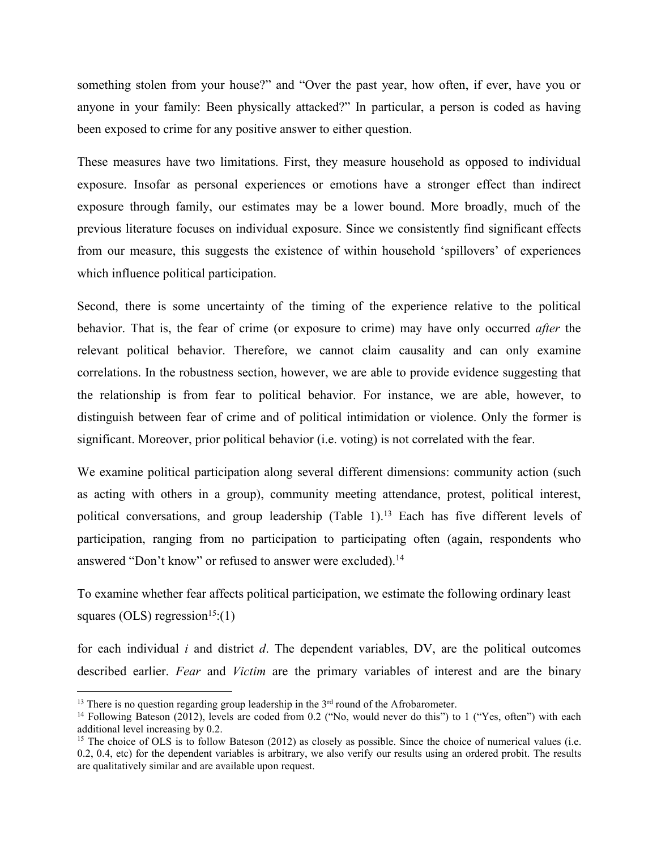something stolen from your house?" and "Over the past year, how often, if ever, have you or anyone in your family: Been physically attacked?" In particular, a person is coded as having been exposed to crime for any positive answer to either question.

These measures have two limitations. First, they measure household as opposed to individual exposure. Insofar as personal experiences or emotions have a stronger effect than indirect exposure through family, our estimates may be a lower bound. More broadly, much of the previous literature focuses on individual exposure. Since we consistently find significant effects from our measure, this suggests the existence of within household 'spillovers' of experiences which influence political participation.

Second, there is some uncertainty of the timing of the experience relative to the political behavior. That is, the fear of crime (or exposure to crime) may have only occurred *after* the relevant political behavior. Therefore, we cannot claim causality and can only examine correlations. In the robustness section, however, we are able to provide evidence suggesting that the relationship is from fear to political behavior. For instance, we are able, however, to distinguish between fear of crime and of political intimidation or violence. Only the former is significant. Moreover, prior political behavior (i.e. voting) is not correlated with the fear.

We examine political participation along several different dimensions: community action (such as acting with others in a group), community meeting attendance, protest, political interest, political conversations, and group leadership (Table 1).[13](#page-6-0) Each has five different levels of participation, ranging from no participation to participating often (again, respondents who answered "Don't know" or refused to answer were excluded).<sup>[14](#page-6-1)</sup>

To examine whether fear affects political participation, we estimate the following ordinary least squares (OLS) regression<sup>[15](#page-6-2)</sup>:(1)

for each individual *i* and district *d*. The dependent variables, DV, are the political outcomes described earlier. *Fear* and *Victim* are the primary variables of interest and are the binary

<span id="page-6-0"></span><sup>&</sup>lt;sup>13</sup> There is no question regarding group leadership in the  $3<sup>rd</sup>$  round of the Afrobarometer.

<span id="page-6-1"></span><sup>&</sup>lt;sup>14</sup> Following Bateson (2012), levels are coded from 0.2 ("No, would never do this") to 1 ("Yes, often") with each additional level increasing by 0.2.

<span id="page-6-2"></span><sup>&</sup>lt;sup>15</sup> The choice of OLS is to follow Bateson (2012) as closely as possible. Since the choice of numerical values (i.e. 0.2, 0.4, etc) for the dependent variables is arbitrary, we also verify our results using an ordered probit. The results are qualitatively similar and are available upon request.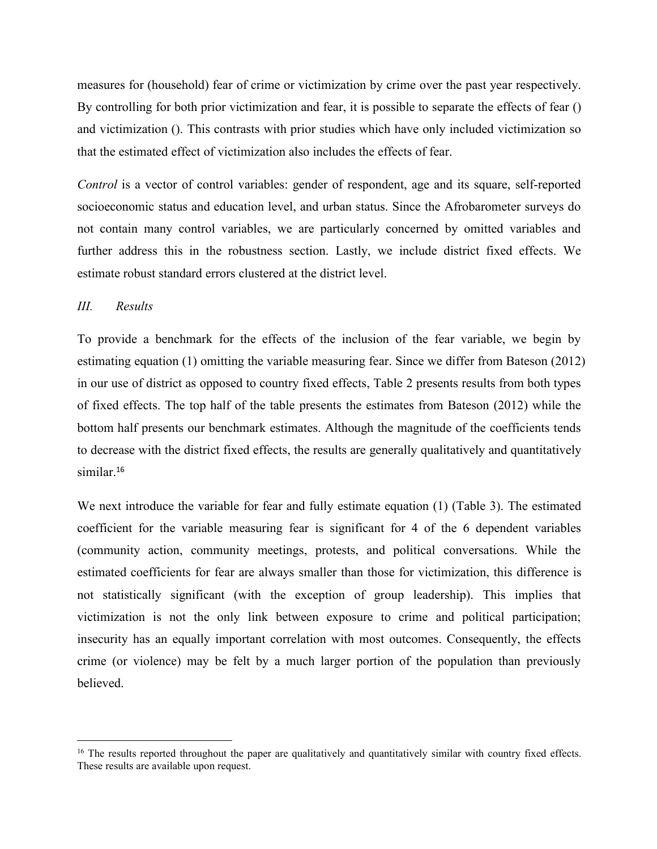measures for (household) fear of crime or victimization by crime over the past year respectively. By controlling for both prior victimization and fear, it is possible to separate the effects of fear () and victimization (). This contrasts with prior studies which have only included victimization so that the estimated effect of victimization also includes the effects of fear.

*Control* is a vector of control variables: gender of respondent, age and its square, self-reported socioeconomic status and education level, and urban status. Since the Afrobarometer surveys do not contain many control variables, we are particularly concerned by omitted variables and further address this in the robustness section. Lastly, we include district fixed effects. We estimate robust standard errors clustered at the district level.

## *III. Results*

To provide a benchmark for the effects of the inclusion of the fear variable, we begin by estimating equation (1) omitting the variable measuring fear. Since we differ from Bateson (2012) in our use of district as opposed to country fixed effects, Table 2 presents results from both types of fixed effects. The top half of the table presents the estimates from Bateson (2012) while the bottom half presents our benchmark estimates. Although the magnitude of the coefficients tends to decrease with the district fixed effects, the results are generally qualitatively and quantitatively similar.<sup>[16](#page-7-0)</sup>

We next introduce the variable for fear and fully estimate equation (1) (Table 3). The estimated coefficient for the variable measuring fear is significant for 4 of the 6 dependent variables (community action, community meetings, protests, and political conversations. While the estimated coefficients for fear are always smaller than those for victimization, this difference is not statistically significant (with the exception of group leadership). This implies that victimization is not the only link between exposure to crime and political participation; insecurity has an equally important correlation with most outcomes. Consequently, the effects crime (or violence) may be felt by a much larger portion of the population than previously believed.

<span id="page-7-0"></span><sup>&</sup>lt;sup>16</sup> The results reported throughout the paper are qualitatively and quantitatively similar with country fixed effects. These results are available upon request.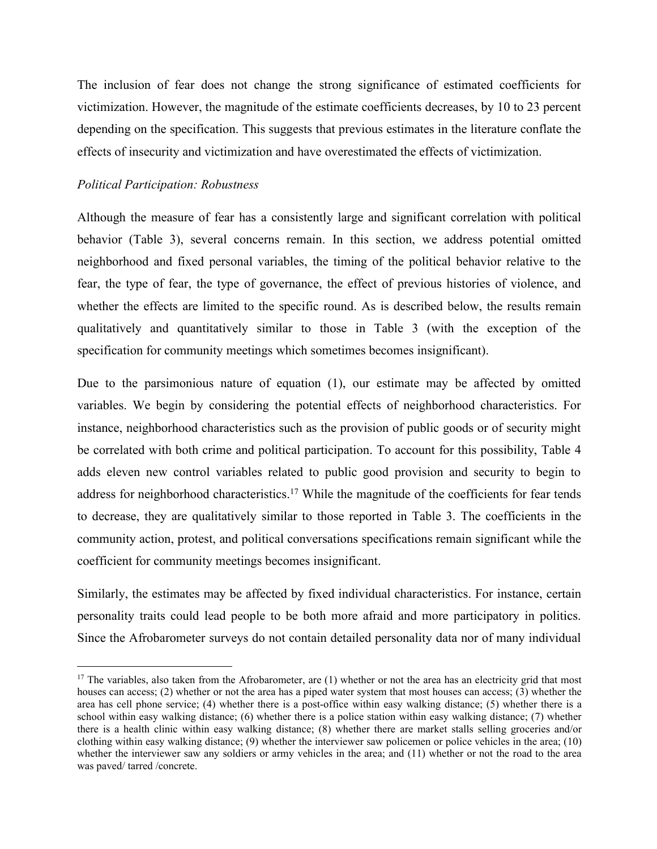The inclusion of fear does not change the strong significance of estimated coefficients for victimization. However, the magnitude of the estimate coefficients decreases, by 10 to 23 percent depending on the specification. This suggests that previous estimates in the literature conflate the effects of insecurity and victimization and have overestimated the effects of victimization.

### *Political Participation: Robustness*

Although the measure of fear has a consistently large and significant correlation with political behavior (Table 3), several concerns remain. In this section, we address potential omitted neighborhood and fixed personal variables, the timing of the political behavior relative to the fear, the type of fear, the type of governance, the effect of previous histories of violence, and whether the effects are limited to the specific round. As is described below, the results remain qualitatively and quantitatively similar to those in Table 3 (with the exception of the specification for community meetings which sometimes becomes insignificant).

Due to the parsimonious nature of equation (1), our estimate may be affected by omitted variables. We begin by considering the potential effects of neighborhood characteristics. For instance, neighborhood characteristics such as the provision of public goods or of security might be correlated with both crime and political participation. To account for this possibility, Table 4 adds eleven new control variables related to public good provision and security to begin to address for neighborhood characteristics.<sup>[17](#page-8-0)</sup> While the magnitude of the coefficients for fear tends to decrease, they are qualitatively similarto those reported in Table 3. The coefficients in the community action, protest, and political conversations specifications remain significant while the coefficient for community meetings becomes insignificant.

Similarly, the estimates may be affected by fixed individual characteristics. For instance, certain personality traits could lead people to be both more afraid and more participatory in politics. Since the Afrobarometer surveys do not contain detailed personality data nor of many individual

<span id="page-8-0"></span><sup>&</sup>lt;sup>17</sup> The variables, also taken from the Afrobarometer, are  $(1)$  whether or not the area has an electricity grid that most houses can access; (2) whether or not the area has a piped water system that most houses can access; (3) whether the area has cell phone service; (4) whether there is a post-office within easy walking distance; (5) whether there is a school within easy walking distance; (6) whether there isa police station within easy walking distance; (7) whether there is a health clinic within easy walking distance; (8) whether there are market stalls selling groceries and/or clothing within easy walking distance; (9) whether the interviewer saw policemen or police vehicles in the area; (10) whether the interviewer saw any soldiers or army vehicles in the area; and (11) whether or not the road to the area was paved/ tarred /concrete.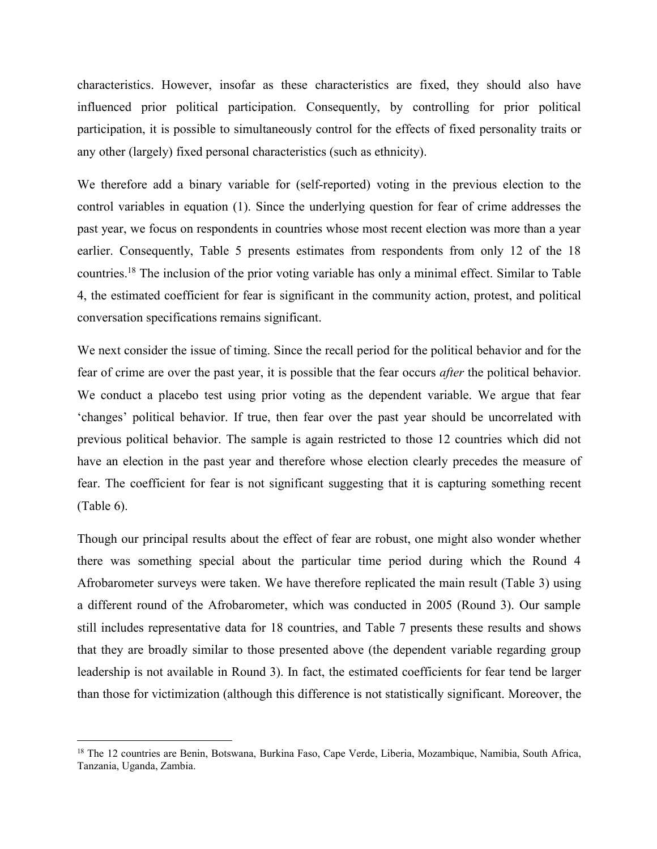characteristics. However, insofar as these characteristics are fixed, they should also have influenced prior political participation. Consequently, by controlling for prior political participation, it is possible to simultaneously control for the effects of fixed personality traits or any other (largely) fixed personal characteristics (such as ethnicity).

We therefore add a binary variable for (self-reported) voting in the previous election to the control variables in equation (1). Since the underlying question for fear of crime addresses the past year, we focus on respondents in countries whose most recent election was more than a year earlier. Consequently, Table 5 presents estimates from respondents from only 12 of the 18 countries.[18](#page-9-0) The inclusion of the prior voting variable has only a minimal effect. Similar to Table 4, the estimated coefficient for fear is significant in the community action, protest, and political conversation specifications remains significant.

We next consider the issue of timing. Since the recall period for the political behavior and for the fear of crime are over the past year, it is possible that the fear occurs *after* the political behavior. We conduct a placebo test using prior voting as the dependent variable. We argue that fear 'changes' political behavior. If true, then fear over the past year should be uncorrelated with previous political behavior. The sample isagain restricted to those 12 countries which did not have an election in the past year and therefore whose election clearly precedes the measure of fear. The coefficient for fear is not significant suggesting that it is capturing something recent (Table 6).

Though our principal results about the effect of fear are robust, one might also wonder whether there was something special about the particular time period during which the Round 4 Afrobarometer surveys were taken. We have therefore replicated the main result (Table 3) using a different round of the Afrobarometer, which was conducted in 2005 (Round 3). Our sample still includes representative data for 18 countries, and Table 7 presents these results and shows that they are broadly similar to those presented above (the dependent variable regarding group leadership is not available in Round 3). In fact, the estimated coefficients for fear tend be larger than those for victimization (although this difference is not statistically significant.Moreover, the

<span id="page-9-0"></span><sup>&</sup>lt;sup>18</sup> The 12 countries are Benin, Botswana, Burkina Faso, Cape Verde, Liberia, Mozambique, Namibia, South Africa, Tanzania, Uganda, Zambia.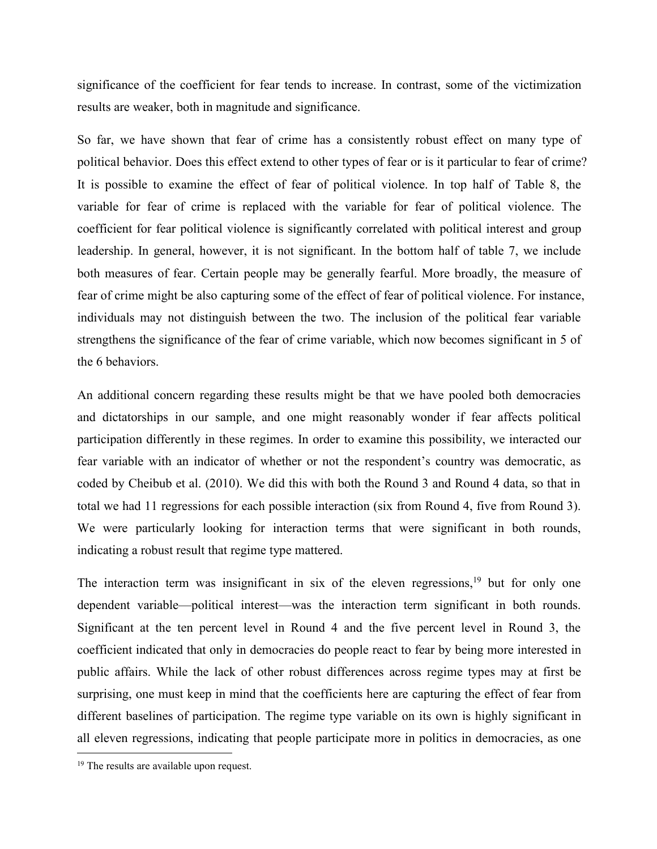significance of the coefficient for fear tends to increase. In contrast, some of the victimization results are weaker, both in magnitude and significance.

So far, we have shown that fear of crime has a consistently robust effect on many type of political behavior. Does this effect extend to other types of fear or is it particular to fear of crime? It is possible to examine the effect of fear of political violence. In top half of Table 8, the variable for fear of crime is replaced with the variable for fear of political violence. The coefficient for fear political violence issignificantly correlated with political interest and group leadership. In general, however, it is not significant. In the bottom half of table 7, we include both measures of fear. Certain people may be generally fearful. More broadly, the measure of fear of crime might be also capturing some of the effect of fear of political violence. For instance, individuals may not distinguish between the two. The inclusion of the political fear variable strengthens the significance of the fear of crime variable, which now becomes significant in 5 of the 6 behaviors.

An additional concern regarding these results might be that we have pooled both democracies and dictatorships in our sample, and one might reasonably wonder if fear affects political participation differently in these regimes. In order to examine this possibility, we interacted our fear variable with an indicator of whether or not the respondent's country was democratic, as coded by Cheibub et al. (2010). We did this with both the Round 3 and Round 4 data, so that in total we had 11 regressions for each possible interaction (six from Round 4, five from Round 3). We were particularly looking for interaction terms that were significant in both rounds, indicating a robust result that regime type mattered.

The interaction term was insignificant in six of the eleven regressions,<sup>[19](#page-10-0)</sup> but for only one dependent variable—political interest—was the interaction term significant in both rounds. Significant at the ten percent level in Round 4 and the five percent level in Round 3, the coefficient indicated that only in democracies do people react to fear by being more interested in public affairs. While the lack of other robust differences across regime types may at first be surprising, one must keep in mind that the coefficients here are capturing the effect of fear from different baselines of participation. The regime type variable on its own is highly significant in all eleven regressions, indicating that people participate more in politics in democracies, as one

<span id="page-10-0"></span><sup>&</sup>lt;sup>19</sup> The results are available upon request.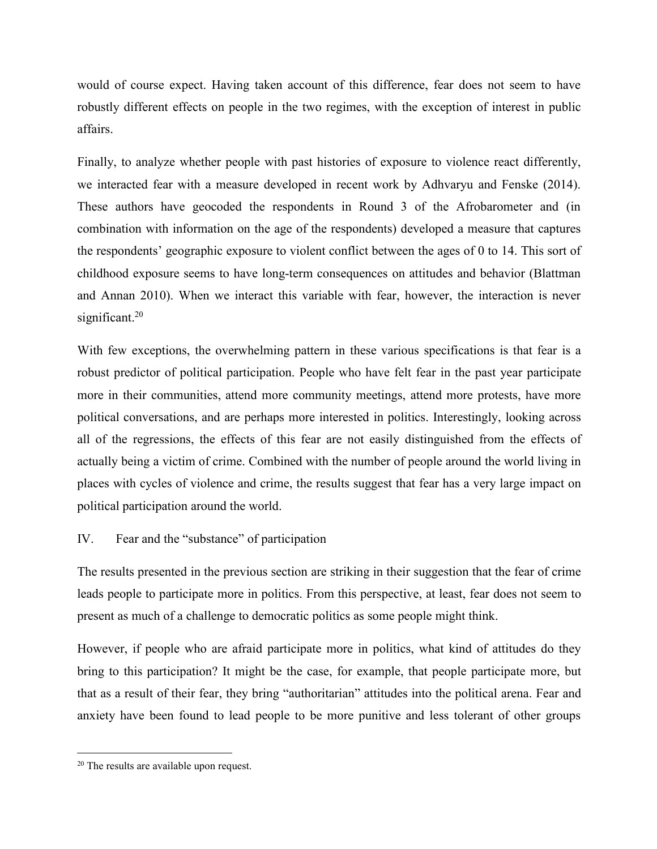would of course expect. Having taken account of this difference, fear does not seem to have robustly different effects on people in the two regimes, with the exception of interest in public affairs.

Finally, to analyze whether people with past histories of exposure to violence react differently, we interacted fear with a measure developed in recent work by Adhvaryu and Fenske (2014). These authors have geocoded the respondents in Round 3 of the Afrobarometer and (in combination with information on the age of the respondents) developed a measure that captures the respondents' geographic exposure to violent conflict between the ages of 0 to 14. This sort of childhood exposure seems to have long-term consequences on attitudes and behavior (Blattman and Annan 2010). When we interact this variable with fear, however, the interaction is never significant.<sup>[20](#page-11-0)</sup>

With few exceptions, the overwhelming pattern in these various specifications is that fear is a robust predictor of political participation. People who have felt fear in the past year participate more in their communities, attend more community meetings, attend more protests, have more political conversations, and are perhaps more interested in politics. Interestingly, looking across all of the regressions, the effects of this fear are not easily distinguished from the effects of actually being a victim of crime. Combined with the number of people around the world living in places with cycles of violence and crime, the results suggest that fear has a very large impact on political participation around the world.

# IV. Fear and the "substance" of participation

The results presented in the previous section are striking in their suggestion that the fear of crime leads people to participate more in politics. From this perspective, at least, fear does not seem to present as much of a challenge to democratic politics as some people might think.

However, if people who are afraid participate more in politics, what kind of attitudes do they bring to this participation? It might be the case, for example, that people participate more, but that as a result of their fear, they bring "authoritarian" attitudes into the political arena. Fear and anxiety have been found to lead people to be more punitive and less tolerant of other groups

<span id="page-11-0"></span><sup>20</sup> The results are available upon request.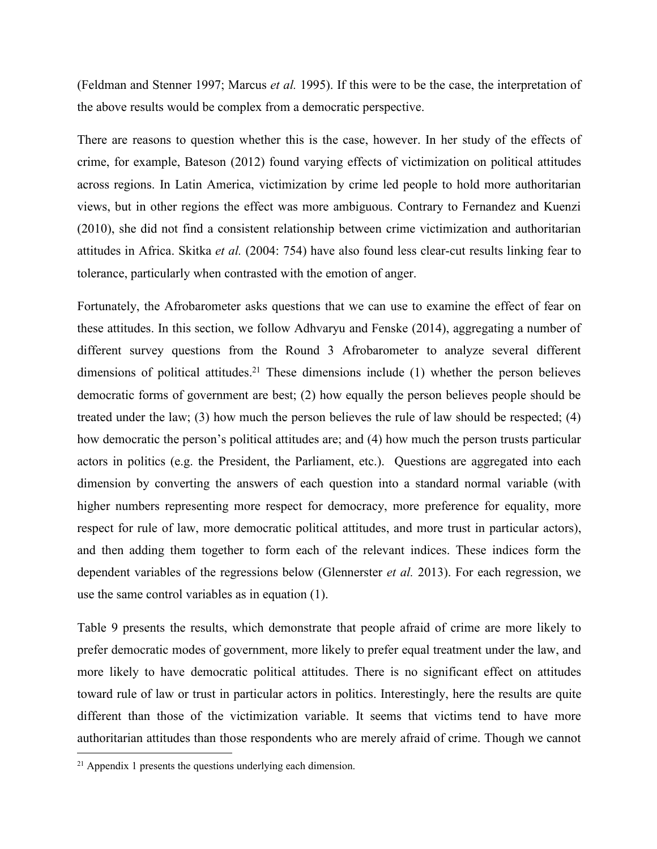(Feldman and Stenner 1997; Marcus *et al.* 1995). If this were to be the case, the interpretation of the above results would be complex from a democratic perspective.

There are reasons to question whether this is the case, however. In her study of the effects of crime, for example, Bateson (2012) found varying effects of victimization on political attitudes across regions. In Latin America, victimization by crime led people to hold more authoritarian views, but in other regions the effect was more ambiguous. Contrary to Fernandez and Kuenzi (2010), she did not find a consistent relationship between crime victimization and authoritarian attitudes in Africa. Skitka *et al.* (2004: 754) have also found less clear-cut results linking fear to tolerance, particularly when contrasted with the emotion of anger.

Fortunately, the Afrobarometer asks questions that we can use to examine the effect of fear on these attitudes. In this section, we follow Adhvaryu and Fenske (2014), aggregating a number of different survey questions from the Round 3 Afrobarometer to analyze several different dimensions of political attitudes.<sup>[21](#page-12-0)</sup> These dimensions include  $(1)$  whether the person believes democratic forms of government are best; (2) how equally the person believes people should be treated under the law; (3) how much the person believes the rule of law should be respected; (4) how democratic the person's political attitudes are; and (4) how much the person trusts particular actors in politics (e.g. the President, the Parliament, etc.). Questions are aggregated into each dimension by converting the answers of each question into a standard normal variable (with higher numbers representing more respect for democracy, more preference for equality, more respect for rule of law, more democratic political attitudes, and more trust in particular actors), and then adding them together to form each of the relevant indices. These indices form the dependent variables of the regressions below (Glennerster *et al.* 2013). For each regression, we use the same control variables as in equation (1).

Table 9 presents the results, which demonstrate that people afraid of crime are more likely to prefer democratic modes of government, more likely to prefer equal treatment under the law, and more likely to have democratic political attitudes. There is no significant effect on attitudes toward rule of law or trust in particular actors in politics. Interestingly, here the results are quite different than those of the victimization variable. It seems that victims tend to have more authoritarian attitudes than those respondents who are merely afraid of crime. Though we cannot

<span id="page-12-0"></span><sup>21</sup> Appendix 1 presents the questions underlying each dimension.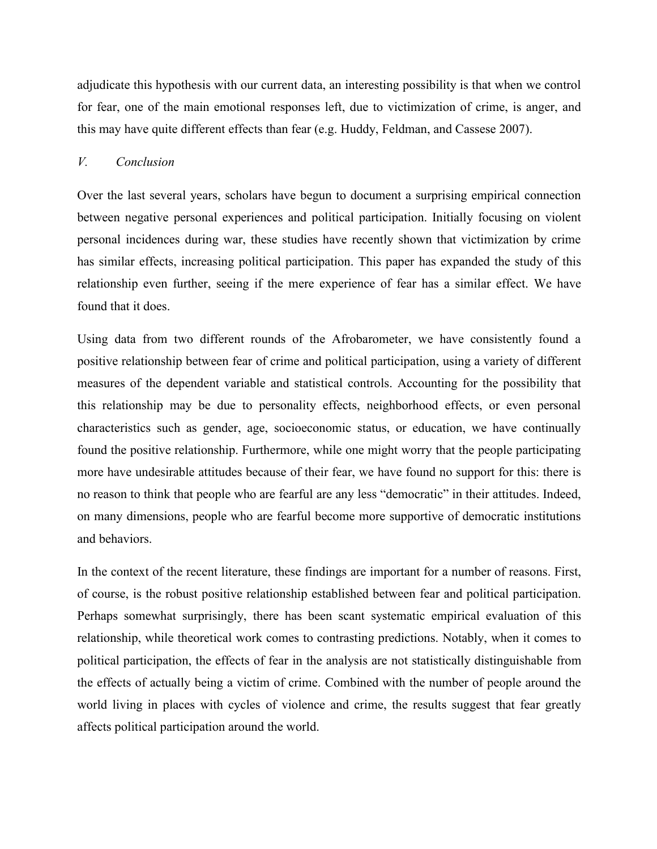adjudicate this hypothesis with our current data, an interesting possibility is that when we control for fear, one of the main emotional responses left, due to victimization of crime, is anger, and this may have quite different effects than fear (e.g. Huddy, Feldman, and Cassese 2007).

## *V. Conclusion*

Over the last several years, scholars have begun to document a surprising empirical connection between negative personal experiences and political participation. Initially focusing on violent personal incidences during war, these studies have recently shown that victimization by crime has similar effects, increasing political participation. This paper has expanded the study of this relationship even further, seeing if the mere experience of fear has a similar effect. We have found that it does.

Using data from two different rounds of the Afrobarometer, we have consistently found a positive relationship between fear of crime and political participation, using a variety of different measures of the dependent variable and statistical controls. Accounting for the possibility that this relationship may be due to personality effects, neighborhood effects, or even personal characteristics such as gender, age, socioeconomic status, or education, we have continually found the positive relationship. Furthermore, while one might worry that the people participating more have undesirable attitudes because of their fear, we have found no support for this: there is no reason to think that people who are fearful are any less "democratic" in their attitudes. Indeed, on many dimensions, people who are fearful become more supportive of democratic institutions and behaviors.

In the context of the recent literature, these findings are important for a number of reasons. First, of course, is the robust positive relationship established between fear and political participation. Perhaps somewhat surprisingly, there has been scant systematic empirical evaluation of this relationship, while theoretical work comes to contrasting predictions. Notably, when it comes to political participation, the effects of fear in the analysis are not statistically distinguishable from the effects of actually being a victim of crime. Combined with the number of people around the world living in places with cycles of violence and crime, the results suggest that fear greatly affects political participation around the world.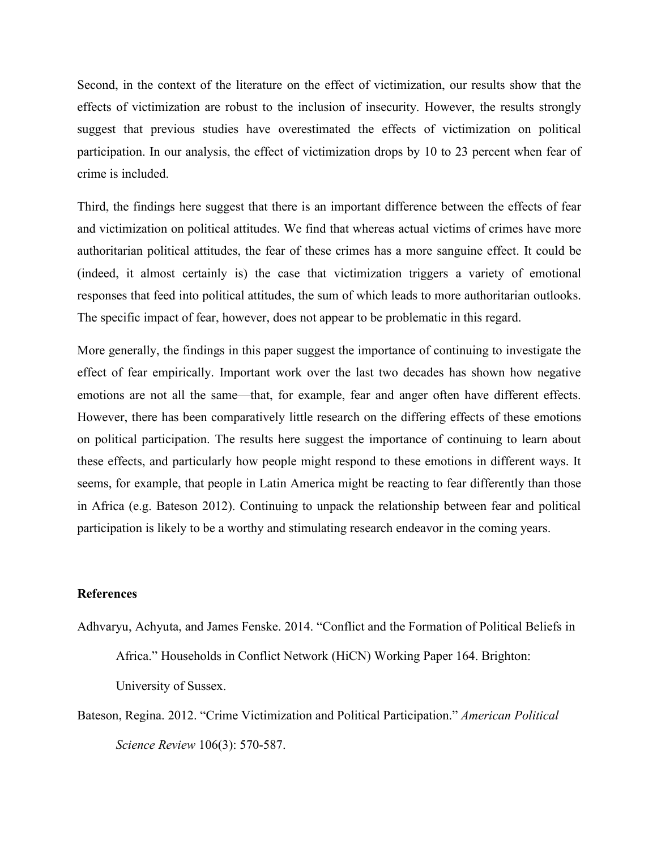Second, in the context of the literature on the effect of victimization, our results show that the effects of victimization are robust to the inclusion of insecurity. However, the results strongly suggest that previous studies have overestimated the effects of victimization on political participation. In our analysis, the effect of victimization drops by 10 to 23 percent when fear of crime is included.

Third, the findings here suggest that there is an important difference between the effects of fear and victimization on political attitudes. We find that whereas actual victims of crimes have more authoritarian political attitudes, the fear of these crimes has a more sanguine effect. It could be (indeed, it almost certainly is) the case that victimization triggers a variety of emotional responses that feed into political attitudes, the sum of which leads to more authoritarian outlooks. The specific impact of fear, however, does not appear to be problematic in this regard.

More generally, the findings in this paper suggest the importance of continuing to investigate the effect of fear empirically. Important work over the last two decades has shown how negative emotions are not all the same—that, for example, fear and anger often have different effects. However, there has been comparatively little research on the differing effects of these emotions on political participation. The results here suggest the importance of continuing to learn about these effects, and particularly how people might respond to these emotions in different ways. It seems, for example, that people in Latin America might be reacting to fear differently than those in Africa (e.g. Bateson 2012). Continuing to unpack the relationship between fear and political participation is likely to be a worthy and stimulating research endeavor in the coming years.

### **References**

- Adhvaryu, Achyuta, and James Fenske. 2014. "Conflict and the Formation of Political Beliefs in Africa." Households in Conflict Network (HiCN) Working Paper 164. Brighton: University of Sussex.
- Bateson, Regina. 2012. "Crime Victimization and Political Participation." *American Political Science Review* 106(3): 570-587.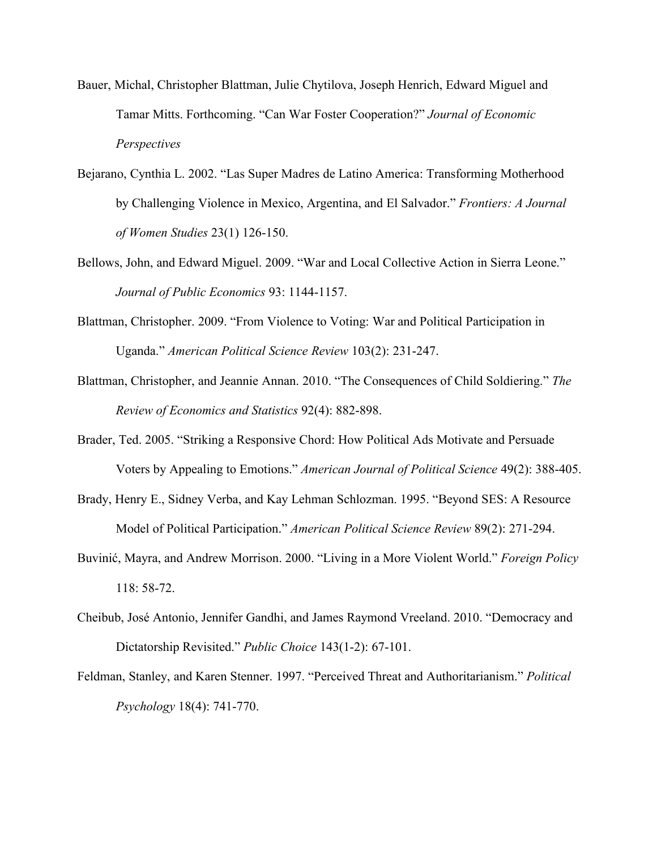- Bauer, Michal, Christopher Blattman, Julie Chytilova, Joseph Henrich, Edward Miguel and Tamar Mitts. Forthcoming. "Can War Foster Cooperation?" *Journal of Economic Perspectives*
- Bejarano, Cynthia L. 2002."Las Super Madres de Latino America: Transforming Motherhood by Challenging Violence in Mexico, Argentina, and El Salvador." *Frontiers: A Journal of Women Studies* 23(1) 126-150.
- Bellows, John, and Edward Miguel. 2009. "War and Local Collective Action in Sierra Leone." *Journal of Public Economics* 93: 1144-1157.
- Blattman, Christopher. 2009. "From Violence to Voting: War and Political Participation in Uganda." *American Political Science Review* 103(2): 231-247.
- Blattman, Christopher, and Jeannie Annan. 2010. "The Consequences of Child Soldiering." The *Review of Economics and Statistics* 92(4): 882-898.
- Brader, Ted. 2005. "Striking a Responsive Chord: How Political Ads Motivate and Persuade Voters by Appealing to Emotions." *American Journal of Political Science* 49(2): 388-405.
- Brady, Henry E., Sidney Verba, and Kay Lehman Schlozman. 1995. "Beyond SES: A Resource Model of Political Participation." *American Political Science Review* 89(2): 271-294.
- Buvinić, Mayra, and Andrew Morrison. 2000. "Living in a More Violent World." *Foreign Policy* 118: 58-72.
- Cheibub, José Antonio, Jennifer Gandhi, and James Raymond Vreeland. 2010. "Democracy and Dictatorship Revisited." *Public Choice* 143(1-2): 67-101.
- Feldman, Stanley, and Karen Stenner. 1997. "Perceived Threat and Authoritarianism." *Political Psychology* 18(4): 741-770.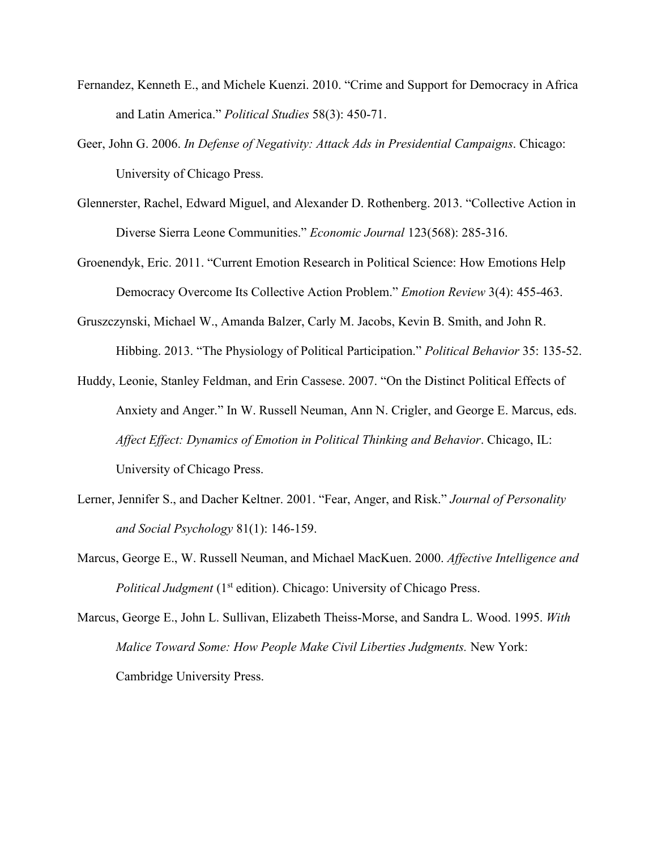- Fernandez, Kenneth E., and Michele Kuenzi. 2010. "Crime and Support for Democracy in Africa and Latin America." *Political Studies* 58(3): 450-71.
- Geer, John G. 2006. *In Defense of Negativity: Attack Ads in Presidential Campaigns*. Chicago: University of Chicago Press.
- Glennerster, Rachel, Edward Miguel, and Alexander D. Rothenberg. 2013. "Collective Action in Diverse Sierra Leone Communities." *Economic Journal* 123(568): 285-316.
- Groenendyk, Eric. 2011. "Current Emotion Research in Political Science: How Emotions Help Democracy Overcome Its Collective Action Problem." *Emotion Review* 3(4): 455-463.
- Gruszczynski, Michael W., Amanda Balzer, Carly M. Jacobs, Kevin B. Smith, and John R. Hibbing. 2013. "The Physiology of Political Participation." *Political Behavior* 35: 135-52.
- Huddy, Leonie, Stanley Feldman, and Erin Cassese. 2007. "On the Distinct Political Effects of Anxiety and Anger." In W. Russell Neuman, Ann N. Crigler, and George E. Marcus, eds. *Affect Effect: Dynamics of Emotion in Political Thinking and Behavior*. Chicago, IL: University of Chicago Press.
- Lerner, Jennifer S., and Dacher Keltner. 2001. "Fear, Anger, and Risk." *Journal of Personality and Social Psychology* 81(1): 146-159.
- Marcus, George E., W. Russell Neuman, and Michael MacKuen. 2000. *Affective Intelligence and Political Judgment* (1<sup>st</sup> edition). Chicago: University of Chicago Press.
- Marcus, George E., John L. Sullivan, Elizabeth Theiss-Morse, and Sandra L. Wood. 1995. *With Malice Toward Some: How People Make Civil Liberties Judgments.* New York: Cambridge University Press.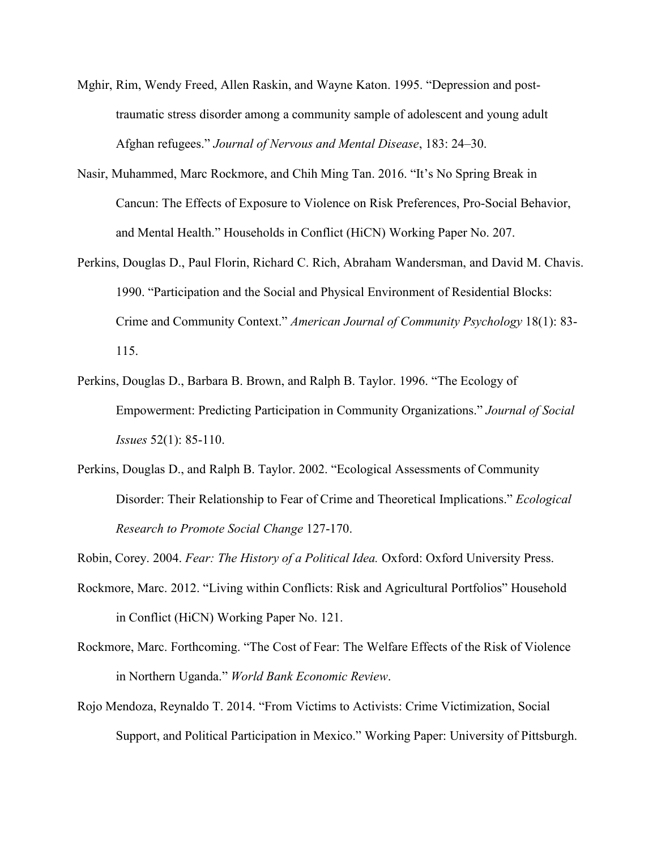- Mghir, Rim, Wendy Freed, Allen Raskin, and Wayne Katon. 1995. "Depression and posttraumatic stress disorder among a community sample of adolescent and young adult Afghan refugees." *Journal of Nervous and Mental Disease*, 183: 24–30.
- Nasir, Muhammed, Marc Rockmore, and Chih Ming Tan. 2016. "It's No Spring Break in Cancun: The Effects of Exposure to Violence on Risk Preferences, Pro-Social Behavior, and Mental Health." Households in Conflict (HiCN) Working Paper No. 207.
- Perkins, Douglas D., Paul Florin, Richard C. Rich, Abraham Wandersman, and David M. Chavis. 1990. "Participation and the Social and Physical Environment of Residential Blocks: Crime and Community Context." *American Journal of Community Psychology* 18(1): 83- 115.
- Perkins, Douglas D., Barbara B. Brown, and Ralph B. Taylor. 1996. "The Ecology of Empowerment: Predicting Participation in Community Organizations." *Journal of Social Issues* 52(1): 85-110.
- Perkins, Douglas D., and Ralph B. Taylor. 2002. "Ecological Assessments of Community Disorder: Their Relationship to Fear of Crime and Theoretical Implications." *Ecological Research to Promote Social Change* 127-170.

Robin, Corey. 2004. *Fear: The History of a Political Idea.* Oxford: Oxford University Press.

- Rockmore, Marc. 2012. "Living within Conflicts: Risk and Agricultural Portfolios" Household in Conflict (HiCN) Working Paper No. 121.
- Rockmore, Marc. Forthcoming. "The Cost of Fear: The Welfare Effects of the Risk of Violence in Northern Uganda." *World Bank Economic Review*.
- Rojo Mendoza, Reynaldo T. 2014. "From Victims to Activists: Crime Victimization, Social Support, and Political Participation in Mexico." Working Paper: University of Pittsburgh.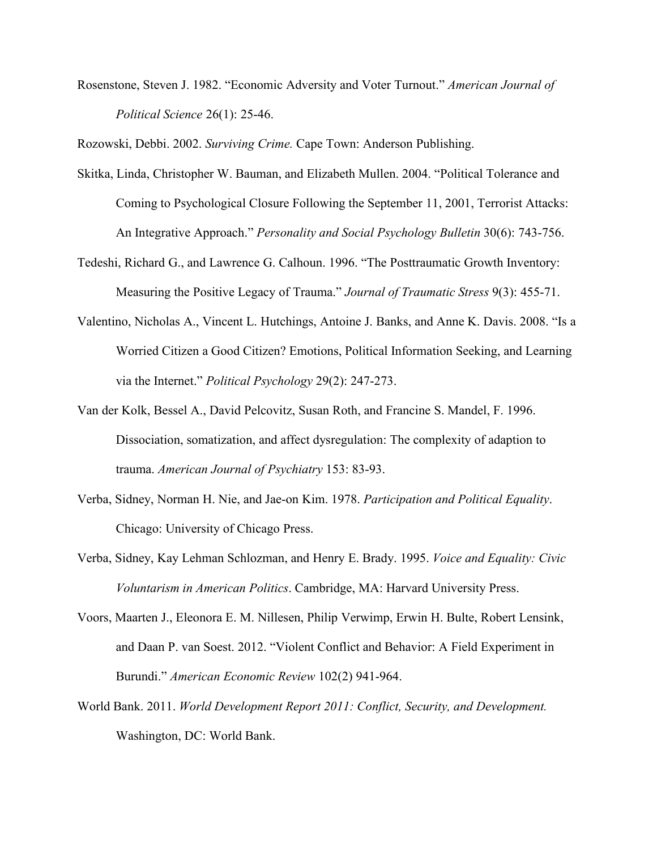Rosenstone, Steven J. 1982. "Economic Adversity and Voter Turnout." *American Journal of Political Science* 26(1): 25-46.

Rozowski, Debbi. 2002. *Surviving Crime.* Cape Town: Anderson Publishing.

- Skitka, Linda, Christopher W. Bauman, and Elizabeth Mullen. 2004. "Political Tolerance and Coming to Psychological Closure Following the September 11, 2001, Terrorist Attacks: An Integrative Approach." *Personality and Social Psychology Bulletin* 30(6): 743-756.
- Tedeshi, Richard G., and Lawrence G. Calhoun. 1996. "The Posttraumatic Growth Inventory: Measuring the Positive Legacy of Trauma." *Journal of Traumatic Stress* 9(3):455-71.
- Valentino, Nicholas A., Vincent L. Hutchings, Antoine J. Banks, and Anne K. Davis. 2008. "Is a Worried Citizen a Good Citizen? Emotions, Political Information Seeking, and Learning via the Internet." *Political Psychology* 29(2): 247-273.
- Van der Kolk, Bessel A., David Pelcovitz, Susan Roth, and Francine S.Mandel, F. 1996. Dissociation, somatization, and affect dysregulation: The complexity of adaption to trauma. *American Journal of Psychiatry* 153: 83-93.
- Verba, Sidney, Norman H. Nie, and Jae-on Kim. 1978. *Participation and Political Equality*. Chicago: University of Chicago Press.
- Verba, Sidney, Kay Lehman Schlozman, and Henry E. Brady. 1995. *Voice and Equality: Civic Voluntarism in American Politics*. Cambridge, MA: Harvard University Press.
- Voors, Maarten J., Eleonora E. M. Nillesen, Philip Verwimp, Erwin H. Bulte, Robert Lensink, and Daan P. van Soest. 2012. "Violent Conflict and Behavior: A Field Experiment in Burundi." *American Economic Review* 102(2) 941-964.
- World Bank. 2011. *World Development Report 2011: Conflict, Security, and Development.* Washington, DC: World Bank.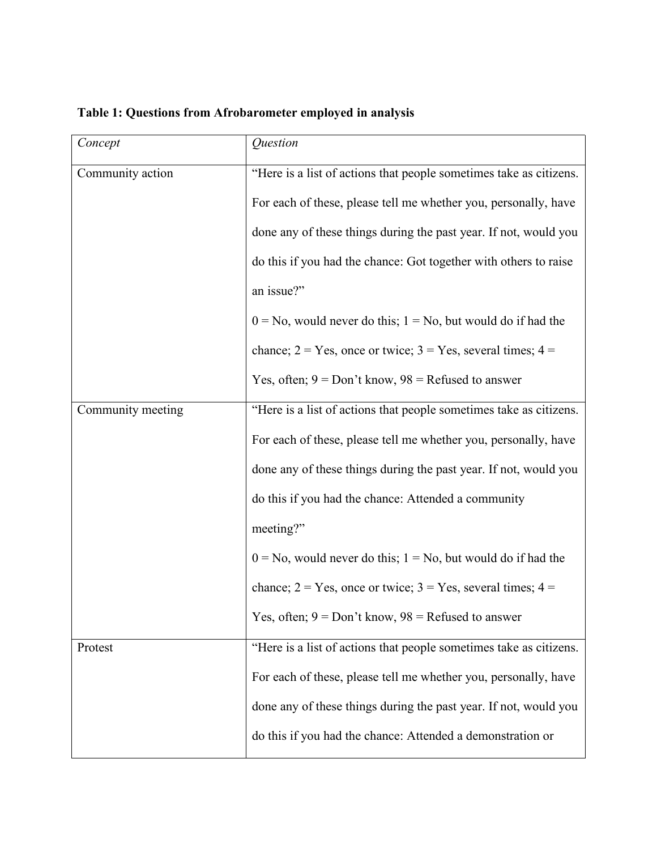| Concept           | <i><u><b>Ouestion</b></u></i>                                       |  |  |  |  |
|-------------------|---------------------------------------------------------------------|--|--|--|--|
| Community action  | "Here is a list of actions that people sometimes take as citizens.  |  |  |  |  |
|                   | For each of these, please tell me whether you, personally, have     |  |  |  |  |
|                   | done any of these things during the past year. If not, would you    |  |  |  |  |
|                   | do this if you had the chance: Got together with others to raise    |  |  |  |  |
|                   | an issue?"                                                          |  |  |  |  |
|                   | $0 = No$ , would never do this; $1 = No$ , but would do if had the  |  |  |  |  |
|                   | chance; $2 = Yes$ , once or twice; $3 = Yes$ , several times; $4 =$ |  |  |  |  |
|                   | Yes, often; $9 = Don't know$ , $98 = Refused$ to answer             |  |  |  |  |
| Community meeting | "Here is a list of actions that people sometimes take as citizens.  |  |  |  |  |
|                   | For each of these, please tell me whether you, personally, have     |  |  |  |  |
|                   | done any of these things during the past year. If not, would you    |  |  |  |  |
|                   | do this if you had the chance: Attended a community                 |  |  |  |  |
|                   | meeting?"                                                           |  |  |  |  |
|                   | $0 = No$ , would never do this; $1 = No$ , but would do if had the  |  |  |  |  |
|                   | chance; $2 = Yes$ , once or twice; $3 = Yes$ , several times; $4 =$ |  |  |  |  |
|                   | Yes, often; $9 = Don't know$ , $98 = Refused$ to answer             |  |  |  |  |
| Protest           | "Here is a list of actions that people sometimes take as citizens.  |  |  |  |  |
|                   | For each of these, please tell me whether you, personally, have     |  |  |  |  |
|                   | done any of these things during the past year. If not, would you    |  |  |  |  |
|                   | do this if you had the chance: Attended a demonstration or          |  |  |  |  |

# **Table 1: Questions from Afrobarometer employed in analysis**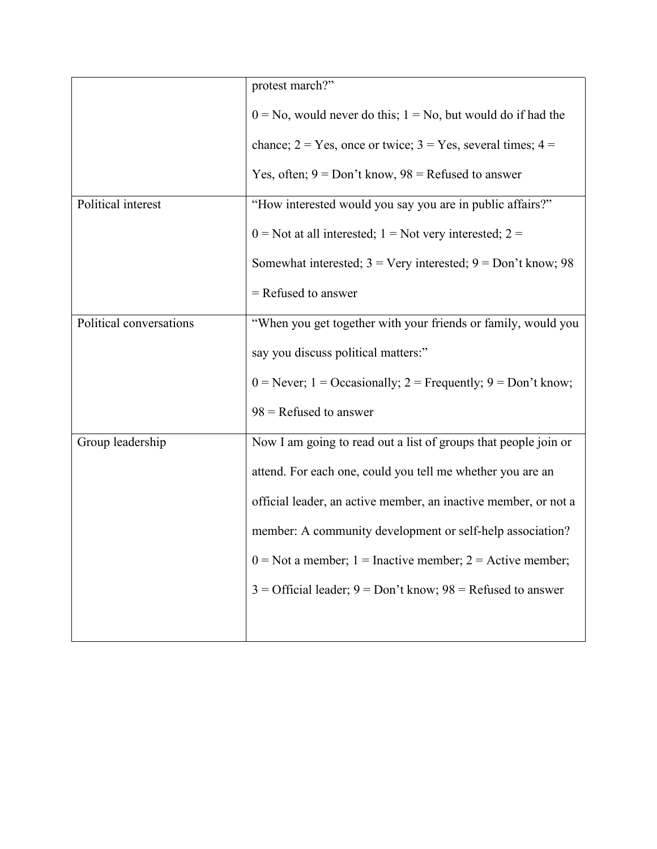|                         | protest march?"                                                     |
|-------------------------|---------------------------------------------------------------------|
|                         | $0 = No$ , would never do this; $1 = No$ , but would do if had the  |
|                         | chance; $2 = Yes$ , once or twice; $3 = Yes$ , several times; $4 =$ |
|                         | Yes, often; $9 = Don't know$ , $98 = Refused to answer$             |
| Political interest      | "How interested would you say you are in public affairs?"           |
|                         | $0$ = Not at all interested; 1 = Not very interested; 2 =           |
|                         | Somewhat interested; $3$ = Very interested; $9$ = Don't know; 98    |
|                         | $=$ Refused to answer                                               |
| Political conversations | "When you get together with your friends or family, would you       |
|                         | say you discuss political matters:"                                 |
|                         | $0$ = Never; 1 = Occasionally; 2 = Frequently; 9 = Don't know;      |
|                         | $98$ = Refused to answer                                            |
| Group leadership        | Now I am going to read out a list of groups that people join or     |
|                         | attend. For each one, could you tell me whether you are an          |
|                         | official leader, an active member, an inactive member, or not a     |
|                         | member: A community development or self-help association?           |
|                         | $0 =$ Not a member; 1 = Inactive member; 2 = Active member;         |
|                         | $3 =$ Official leader; $9 =$ Don't know; $98 =$ Refused to answer   |
|                         |                                                                     |
|                         |                                                                     |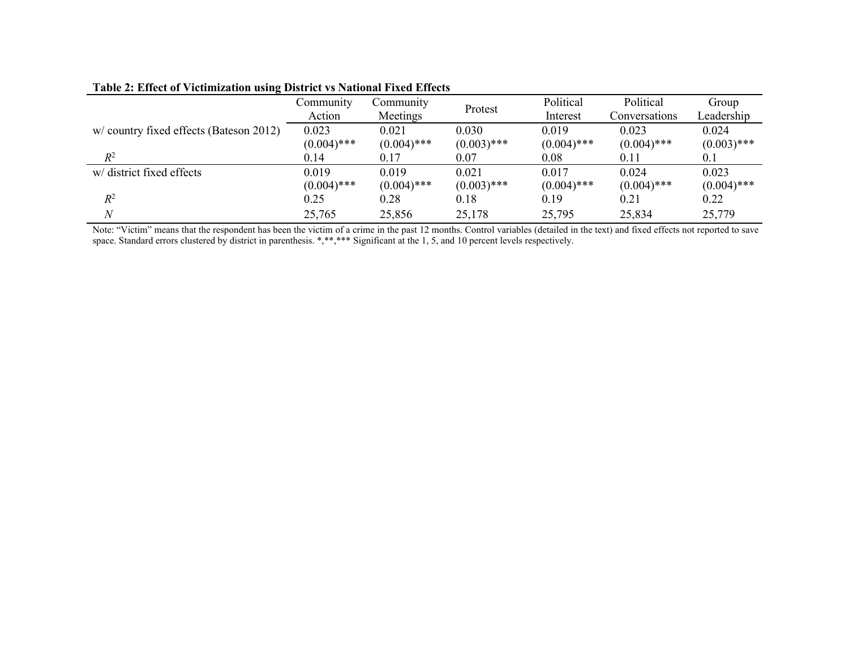|                                        | Community     | Community     |               | Political     | Political     | Group         |
|----------------------------------------|---------------|---------------|---------------|---------------|---------------|---------------|
|                                        | Action        | Meetings      | Protest       | Interest      | Conversations | Leadership    |
| w/country fixed effects (Bateson 2012) | 0.023         | 0.021         | 0.030         | 0.019         | 0.023         | 0.024         |
|                                        | $(0.004)$ *** | $(0.004)$ *** | $(0.003)$ *** | $(0.004)$ *** | $(0.004)$ *** | $(0.003)$ *** |
| $R^2$                                  | 0.14          | 0.17          | 0.07          | 0.08          | 0.11          | 0.1           |
| w/ district fixed effects              | 0.019         | 0.019         | 0.021         | 0.017         | 0.024         | 0.023         |
|                                        | $(0.004)$ *** | $(0.004)$ *** | $(0.003)$ *** | $(0.004)$ *** | $(0.004)$ *** | $(0.004)$ *** |
| $R^2$                                  | 0.25          | 0.28          | 0.18          | 0.19          | 0.21          | 0.22          |
|                                        | 25,765        | 25,856        | 25,178        | 25,795        | 25,834        | 25,779        |

### **Table 2: Effect of Victimization using District vs National Fixed Effects**

Note: "Victim" means that the respondent has been the victim of a crime in the past 12 months. Control variables (detailed in the text) and fixed effects not reported to save space. Standard errors clustered by district in parenthesis. \*,\*\*,\*\*\* Significant at the 1, 5, and 10 percent levels respectively.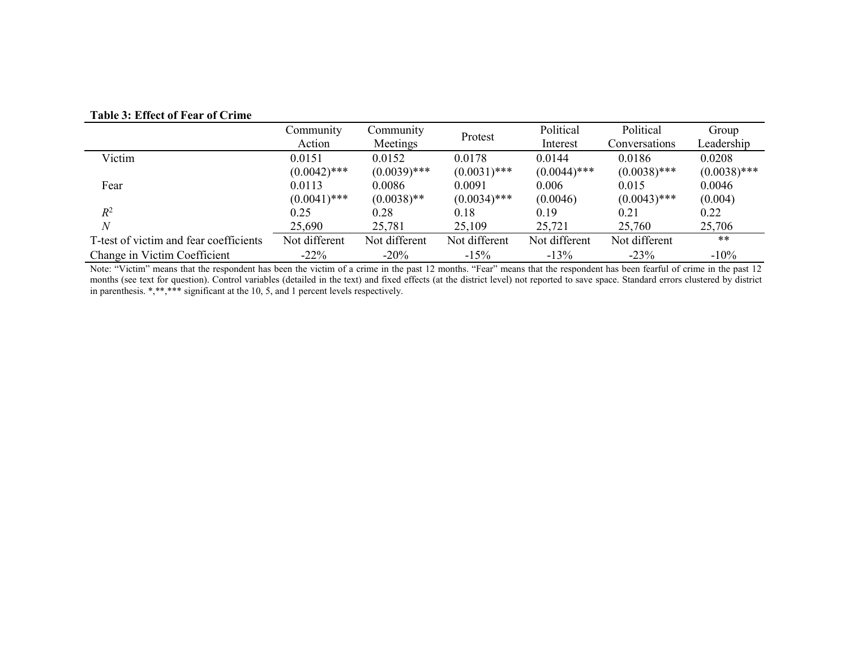#### **Table 3: Effect of Fear of Crime**

|                                        | Community      | Community      | Protest        | Political      | Political      | Group          |
|----------------------------------------|----------------|----------------|----------------|----------------|----------------|----------------|
|                                        | Action         | Meetings       |                | Interest       | Conversations  | Leadership     |
| Victim                                 | 0.0151         | 0.0152         | 0.0178         | 0.0144         | 0.0186         | 0.0208         |
|                                        | $(0.0042)$ *** | $(0.0039)$ *** | $(0.0031)$ *** | $(0.0044)$ *** | $(0.0038)$ *** | $(0.0038)$ *** |
| Fear                                   | 0.0113         | 0.0086         | 0.0091         | 0.006          | 0.015          | 0.0046         |
|                                        | $(0.0041)$ *** | $(0.0038)$ **  | $(0.0034)$ *** | (0.0046)       | $(0.0043)$ *** | (0.004)        |
| $R^2$                                  | 0.25           | 0.28           | 0.18           | 0.19           | 0.21           | 0.22           |
|                                        | 25,690         | 25,781         | 25,109         | 25,721         | 25,760         | 25,706         |
| T-test of victim and fear coefficients | Not different  | Not different  | Not different  | Not different  | Not different  | **             |
| Change in Victim Coefficient           | $-22\%$        | $-20%$         | $-15%$         | $-13%$         | $-23%$         | $-10%$         |

Note: "Victim" means that the respondent has been the victim of a crime in the past 12 months. "Fear" means that the respondent has been fearful of crime in the past 12 months (see text for question). Control variables (detailed in the text) and fixed effects (at the district level) not reported to save space. Standard errors clustered by district in parenthesis. \*,\*\*,\*\*\* significant at the 10, 5, and 1 percent levels respectively.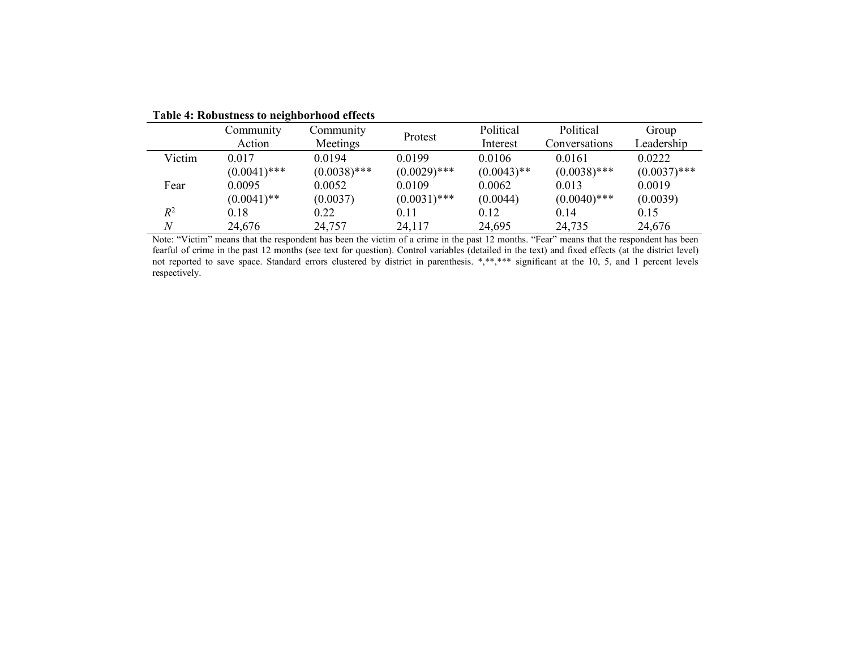|        | Community      | Community      | Protest        | Political     | Political      | Group          |
|--------|----------------|----------------|----------------|---------------|----------------|----------------|
|        | Action         | Meetings       |                | Interest      | Conversations  | Leadership     |
| Victim | 0.017          | 0.0194         | 0.0199         | 0.0106        | 0.0161         | 0.0222         |
|        | $(0.0041)$ *** | $(0.0038)$ *** | $(0.0029)$ *** | $(0.0043)$ ** | $(0.0038)$ *** | $(0.0037)$ *** |
| Fear   | 0.0095         | 0.0052         | 0.0109         | 0.0062        | 0.013          | 0.0019         |
|        | $(0.0041)$ **  | (0.0037)       | $(0.0031)$ *** | (0.0044)      | $(0.0040)$ *** | (0.0039)       |
| $R^2$  | 0.18           | 0.22           | 0.11           | 0.12          | 0.14           | 0.15           |
|        | 24,676         | 24,757         | 24,117         | 24,695        | 24,735         | 24,676         |

**Table 4: Robustness to neighborhood effects**

Note: "Victim" means that the respondent has been the victim of a crime in the past 12 months. "Fear" means that the respondent has been fearful of crime in the past 12 months (see text for question). Control variables (detailed in the text) and fixed effects (at the district level) not reported to save space. Standard errors clustered by district in parenthesis. \*,\*\*,\*\*\* significant at the 10, 5, and 1 percent levels respectively.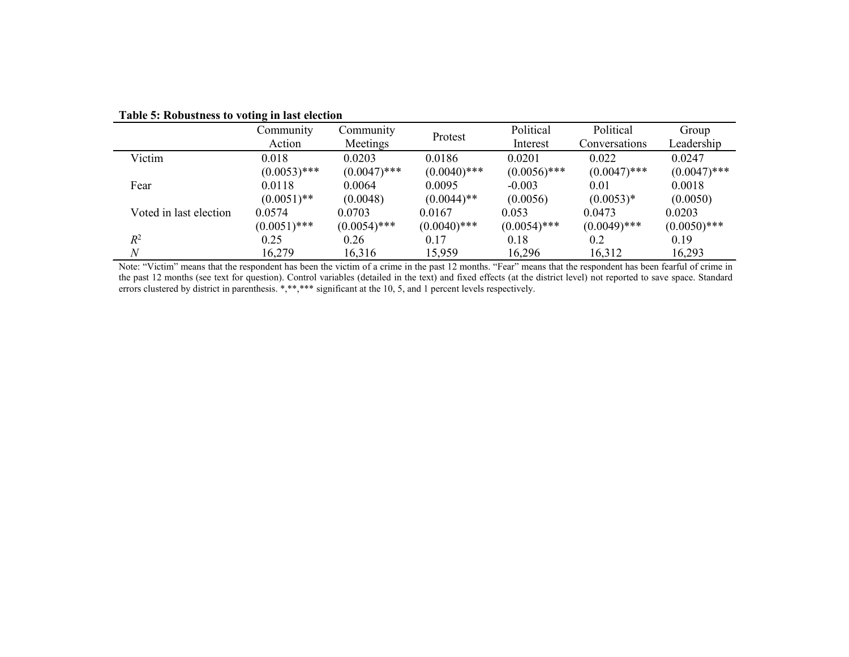|                        | Community      | Community      | Protest        | Political      | Political      | Group          |
|------------------------|----------------|----------------|----------------|----------------|----------------|----------------|
|                        | Action         | Meetings       |                | Interest       | Conversations  | Leadership     |
| Victim                 | 0.018          | 0.0203         | 0.0186         | 0.0201         | 0.022          | 0.0247         |
|                        | $(0.0053)$ *** | $(0.0047)$ *** | $(0.0040)$ *** | $(0.0056)$ *** | $(0.0047)$ *** | $(0.0047)$ *** |
| Fear                   | 0.0118         | 0.0064         | 0.0095         | $-0.003$       | $0.01\,$       | 0.0018         |
|                        | $(0.0051)$ **  | (0.0048)       | $(0.0044)$ **  | (0.0056)       | $(0.0053)*$    | (0.0050)       |
| Voted in last election | 0.0574         | 0.0703         | 0.0167         | 0.053          | 0.0473         | 0.0203         |
|                        | $(0.0051)$ *** | $(0.0054)$ *** | $(0.0040)$ *** | $(0.0054)$ *** | $(0.0049)$ *** | $(0.0050)$ *** |
| $R^2$                  | 0.25           | 0.26           | 0.17           | 0.18           | 0.2            | 0.19           |
| $\overline{N}$         | 16,279         | 16,316         | 15,959         | 16,296         | 16,312         | 16,293         |

#### **Table 5: Robustness to voting in last election**

Note: "Victim" means that the respondent has been the victim of a crime in the past 12 months. "Fear" means that the respondent has been fearful of crime in the past 12 months (see text for question). Control variables (detailed in the text) and fixed effects (at the district level) not reported to save space. Standard errors clustered by district in parenthesis. \*,\*\*,\*\*\* significant at the 10, 5, and 1 percent levels respectively.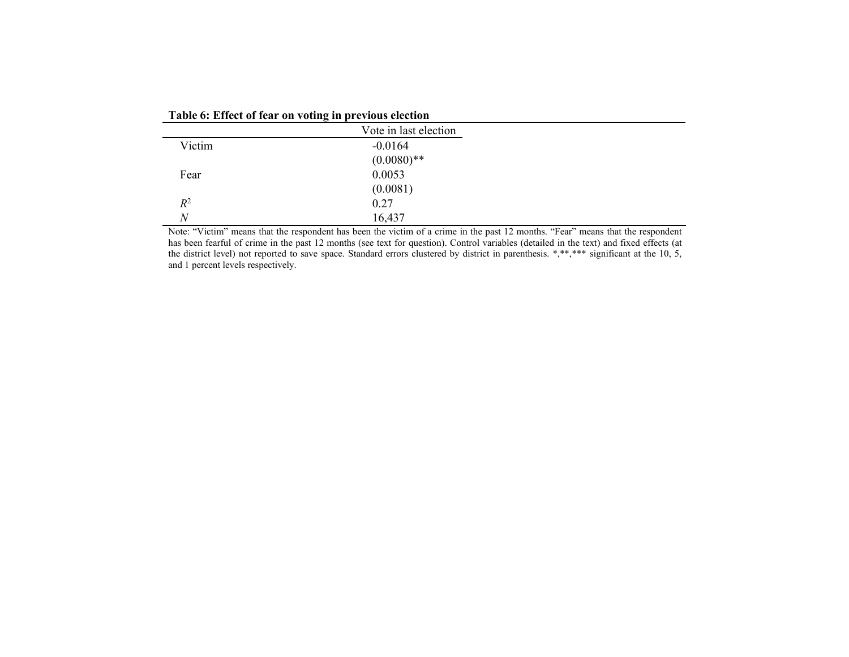| Table 6: Effect of fear on voting in previous election |  |  |  |  |  |  |  |  |  |  |  |  |  |
|--------------------------------------------------------|--|--|--|--|--|--|--|--|--|--|--|--|--|
|--------------------------------------------------------|--|--|--|--|--|--|--|--|--|--|--|--|--|

|                | Vote in last election |
|----------------|-----------------------|
| Victim         | $-0.0164$             |
|                | $(0.0080)$ **         |
| Fear           | 0.0053                |
|                | (0.0081)              |
| $R^2$          | 0.27                  |
| $\overline{N}$ | 16,437                |

Note: "Victim" means that the respondent has been the victim of a crime in the past 12 months. "Fear" means that the respondent has been fearful of crime in the past 12 months (see text for question). Control variables (detailed in the text) and fixed effects (at the district level) not reported to save space. Standard errors clustered by district in parenthesis.  $*,**,***$  significant at the 10, 5, and 1 percent levels respectively.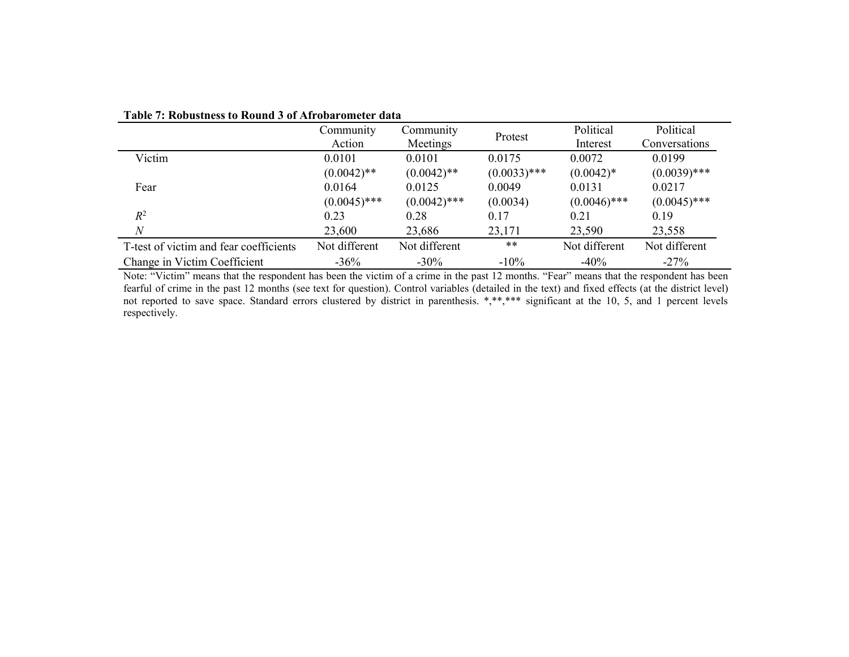|                                        | Community      | Community      |                | Political      | Political      |
|----------------------------------------|----------------|----------------|----------------|----------------|----------------|
|                                        | Action         | Meetings       | Protest        | Interest       | Conversations  |
| Victim                                 | 0.0101         | 0.0101         | 0.0175         | 0.0072         | 0.0199         |
|                                        | $(0.0042)$ **  | $(0.0042)$ **  | $(0.0033)$ *** | $(0.0042)*$    | $(0.0039)$ *** |
| Fear                                   | 0.0164         | 0.0125         | 0.0049         | 0.0131         | 0.0217         |
|                                        | $(0.0045)$ *** | $(0.0042)$ *** | (0.0034)       | $(0.0046)$ *** | $(0.0045)$ *** |
| $R^2$                                  | 0.23           | 0.28           | 0.17           | 0.21           | 0.19           |
| N                                      | 23,600         | 23,686         | 23,171         | 23,590         | 23,558         |
| T-test of victim and fear coefficients | Not different  | Not different  | $***$          | Not different  | Not different  |
| Change in Victim Coefficient           | $-36%$         | $-30\%$        | $-10%$         | $-40%$         | $-27%$         |

#### **Table 7: Robustness to Round 3 of Afrobarometer data**

Note: "Victim" means that the respondent has been the victim of a crime in the past 12 months. "Fear" means that the respondent has been fearful of crime in the past 12 months (see text for question). Control variables (detailed in the text) and fixed effects (at the district level) not reported to save space. Standard errors clustered by district in parenthesis. \*,\*\*,\*\*\* significant at the 10, 5, and 1 percent levels respectively.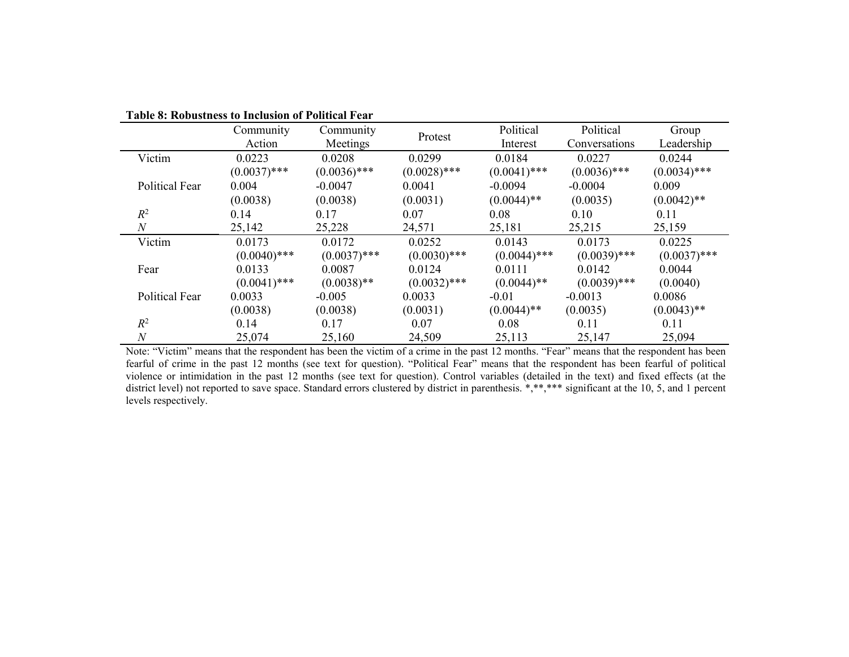|                       | Community      | Community      |                | Political      | Political      | Group          |
|-----------------------|----------------|----------------|----------------|----------------|----------------|----------------|
|                       | Action         | Meetings       | Protest        | Interest       | Conversations  | Leadership     |
| Victim                | 0.0223         | 0.0208         | 0.0299         | 0.0184         | 0.0227         | 0.0244         |
|                       | $(0.0037)$ *** | $(0.0036)$ *** | $(0.0028)$ *** | $(0.0041)$ *** | $(0.0036)$ *** | $(0.0034)$ *** |
| <b>Political Fear</b> | 0.004          | $-0.0047$      | 0.0041         | $-0.0094$      | $-0.0004$      | 0.009          |
|                       | (0.0038)       | (0.0038)       | (0.0031)       | $(0.0044)$ **  | (0.0035)       | $(0.0042)$ **  |
| $R^2$                 | 0.14           | 0.17           | 0.07           | 0.08           | 0.10           | 0.11           |
| $\,N$                 | 25,142         | 25,228         | 24,571         | 25,181         | 25,215         | 25,159         |
| Victim                | 0.0173         | 0.0172         | 0.0252         | 0.0143         | 0.0173         | 0.0225         |
|                       | $(0.0040)$ *** | $(0.0037)$ *** | $(0.0030)$ *** | $(0.0044)$ *** | $(0.0039)$ *** | $(0.0037)$ *** |
| Fear                  | 0.0133         | 0.0087         | 0.0124         | 0.0111         | 0.0142         | 0.0044         |
|                       | $(0.0041)$ *** | $(0.0038)$ **  | $(0.0032)$ *** | $(0.0044)$ **  | $(0.0039)$ *** | (0.0040)       |
| <b>Political Fear</b> | 0.0033         | $-0.005$       | 0.0033         | $-0.01$        | $-0.0013$      | 0.0086         |
|                       | (0.0038)       | (0.0038)       | (0.0031)       | $(0.0044)$ **  | (0.0035)       | $(0.0043)$ **  |
| $R^2$                 | 0.14           | 0.17           | 0.07           | 0.08           | 0.11           | 0.11           |
| $\boldsymbol{N}$      | 25,074         | 25,160         | 24,509         | 25,113         | 25,147         | 25,094         |

**Table 8: Robustness to Inclusion of Political Fear**

Note: "Victim" means that the respondent has been the victim of a crime in the past 12 months. "Fear" means that the respondent has been fearful of crime in the past 12 months (see text for question). "Political Fear" means that the respondent has been fearful of political violence or intimidation in the past 12 months (see text for question). Control variables (detailed in the text) and fixed effects (at the district level) not reported to save space. Standard errors clustered by district in parenthesis. \*,\*\*,\*\*\* significant at the 10, 5, and 1 percent levels respectively.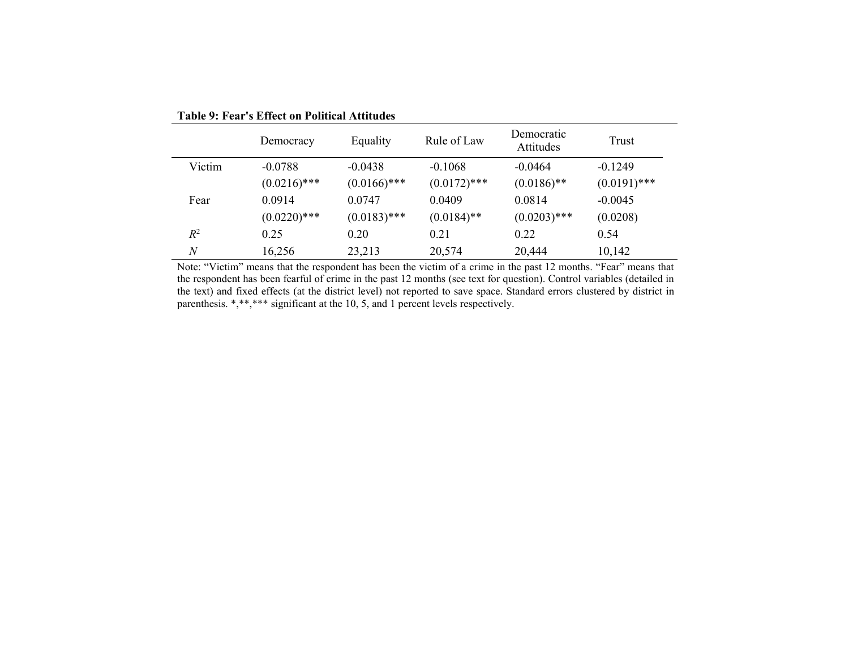|                   | Democracy      | Equality       | Rule of Law    | Democratic<br>Attitudes | Trust          |
|-------------------|----------------|----------------|----------------|-------------------------|----------------|
| Victim            | $-0.0788$      | $-0.0438$      | $-0.1068$      | $-0.0464$               | $-0.1249$      |
|                   | $(0.0216)$ *** | $(0.0166)$ *** | $(0.0172)$ *** | $(0.0186)$ **           | $(0.0191)$ *** |
| Fear              | 0.0914         | 0.0747         | 0.0409         | 0.0814                  | $-0.0045$      |
|                   | $(0.0220)$ *** | $(0.0183)$ *** | $(0.0184)$ **  | $(0.0203)$ ***          | (0.0208)       |
| $R^2$             | 0.25           | 0.20           | 0.21           | 0.22                    | 0.54           |
| $\mathcal{N}_{0}$ | 16,256         | 23,213         | 20,574         | 20,444                  | 10,142         |

**Table 9: Fear's Effect on Political Attitudes**

Note: "Victim" means that the respondent has been the victim of a crime in the past 12 months. "Fear" means that the respondent has been fearful of crime in the past 12 months (see text for question). Control variables (detailed in the text) and fixed effects (at the district level) not reported to save space. Standard errors clustered by district in parenthesis. \*,\*\*,\*\*\* significant at the 10, 5, and 1 percent levels respectively.